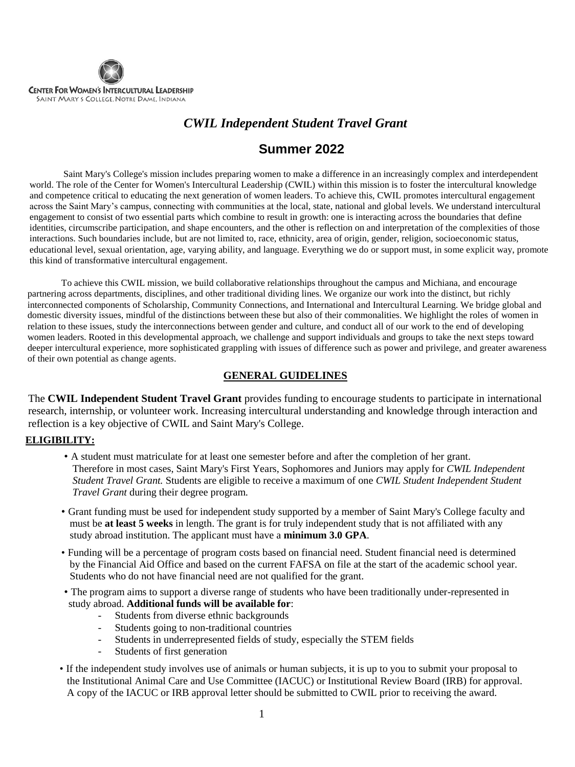

### *CWIL Independent Student Travel Grant*

## **Summer 2022**

Saint Mary's College's mission includes preparing women to make a difference in an increasingly complex and interdependent world. The role of the Center for Women's Intercultural Leadership (CWIL) within this mission is to foster the intercultural knowledge and competence critical to educating the next generation of women leaders. To achieve this, CWIL promotes intercultural engagement across the Saint Mary's campus, connecting with communities at the local, state, national and global levels. We understand intercultural engagement to consist of two essential parts which combine to result in growth: one is interacting across the boundaries that define identities, circumscribe participation, and shape encounters, and the other is reflection on and interpretation of the complexities of those interactions. Such boundaries include, but are not limited to, race, ethnicity, area of origin, gender, religion, socioeconomic status, educational level, sexual orientation, age, varying ability, and language. Everything we do or support must, in some explicit way, promote this kind of transformative intercultural engagement.

To achieve this CWIL mission, we build collaborative relationships throughout the campus and Michiana, and encourage partnering across departments, disciplines, and other traditional dividing lines. We organize our work into the distinct, but richly interconnected components of Scholarship, Community Connections, and International and Intercultural Learning. We bridge global and domestic diversity issues, mindful of the distinctions between these but also of their commonalities. We highlight the roles of women in relation to these issues, study the interconnections between gender and culture, and conduct all of our work to the end of developing women leaders. Rooted in this developmental approach, we challenge and support individuals and groups to take the next steps toward deeper intercultural experience, more sophisticated grappling with issues of difference such as power and privilege, and greater awareness of their own potential as change agents.

#### **GENERAL GUIDELINES**

The **CWIL Independent Student Travel Grant** provides funding to encourage students to participate in international research, internship, or volunteer work. Increasing intercultural understanding and knowledge through interaction and reflection is a key objective of CWIL and Saint Mary's College.

#### **ELIGIBILITY:**

- A student must matriculate for at least one semester before and after the completion of her grant. Therefore in most cases, Saint Mary's First Years, Sophomores and Juniors may apply for *CWIL Independent Student Travel Grant.* Students are eligible to receive a maximum of one *CWIL Student Independent Student Travel Grant* during their degree program.
- Grant funding must be used for independent study supported by a member of Saint Mary's College faculty and must be **at least 5 weeks** in length. The grant is for truly independent study that is not affiliated with any study abroad institution. The applicant must have a **minimum 3.0 GPA**.
- Funding will be a percentage of program costs based on financial need. Student financial need is determined by the Financial Aid Office and based on the current FAFSA on file at the start of the academic school year. Students who do not have financial need are not qualified for the grant.
- The program aims to support a diverse range of students who have been traditionally under-represented in study abroad. **Additional funds will be available for**:
	- Students from diverse ethnic backgrounds
	- Students going to non-traditional countries
	- Students in underrepresented fields of study, especially the STEM fields
	- Students of first generation
- If the independent study involves use of animals or human subjects, it is up to you to submit your proposal to the Institutional Animal Care and Use Committee (IACUC) or Institutional Review Board (IRB) for approval. A copy of the IACUC or IRB approval letter should be submitted to CWIL prior to receiving the award.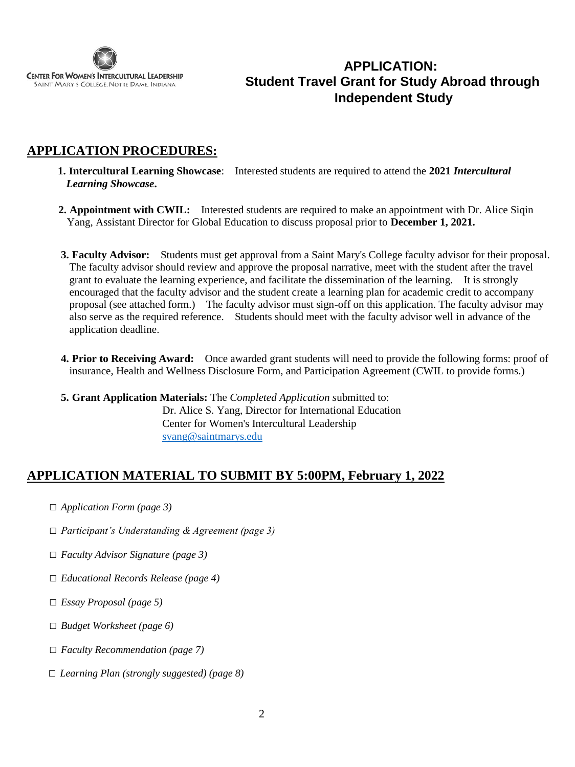

## **APPLICATION: Student Travel Grant for Study Abroad through Independent Study**

## **APPLICATION PROCEDURES:**

- **1. Intercultural Learning Showcase**: Interested students are required to attend the **2021** *Intercultural Learning Showcase***.**
- **2. Appointment with CWIL:** Interested students are required to make an appointment with Dr. Alice Siqin Yang, Assistant Director for Global Education to discuss proposal prior to **December 1, 2021.**
- **3. Faculty Advisor:** Students must get approval from a Saint Mary's College faculty advisor for their proposal. The faculty advisor should review and approve the proposal narrative, meet with the student after the travel grant to evaluate the learning experience, and facilitate the dissemination of the learning. It is strongly encouraged that the faculty advisor and the student create a learning plan for academic credit to accompany proposal (see attached form.) The faculty advisor must sign-off on this application. The faculty advisor may also serve as the required reference. Students should meet with the faculty advisor well in advance of the application deadline.
- **4. Prior to Receiving Award:** Once awarded grant students will need to provide the following forms: proof of insurance, Health and Wellness Disclosure Form, and Participation Agreement (CWIL to provide forms.)
- **5. Grant Application Materials:** The *Completed Application s*ubmitted to: Dr. Alice S. Yang, Director for International Education Center for Women's Intercultural Leadership [syang@saintmarys.edu](mailto:syang@saintmarys.edu)

### **APPLICATION MATERIAL TO SUBMIT BY 5:00PM, February 1, 2022**

- □ *Application Form (page 3)*
- □ *Participant's Understanding & Agreement (page 3)*
- □ *Faculty Advisor Signature (page 3)*
- □ *Educational Records Release (page 4)*
- □ *Essay Proposal (page 5)*
- □ *Budget Worksheet (page 6)*
- □ *Faculty Recommendation (page 7)*
- □ *Learning Plan (strongly suggested) (page 8)*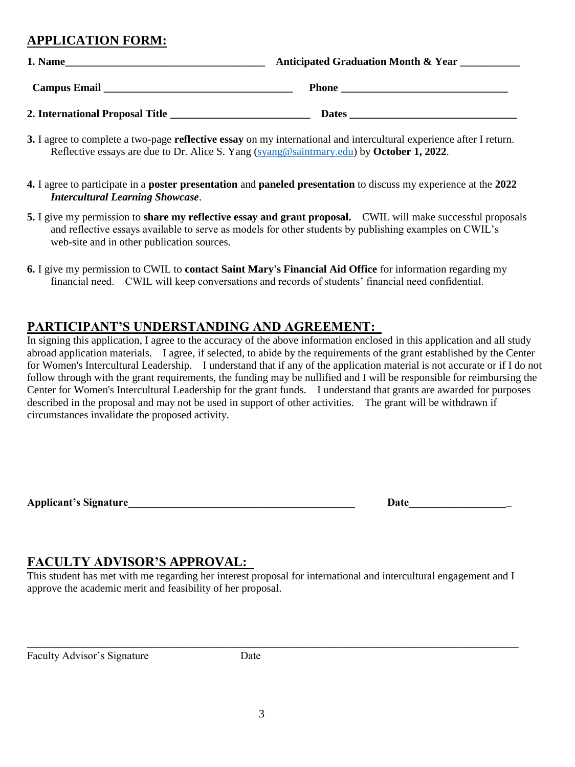# **APPLICATION FORM:**

| 1. Name                           | <b>Anticipated Graduation Month &amp; Year</b> |  |
|-----------------------------------|------------------------------------------------|--|
| <b>Campus Email</b>               | <b>Phone</b>                                   |  |
| 2. International Proposal Title _ | <b>Dates</b>                                   |  |

- **3.** I agree to complete a two-page **reflective essay** on my international and intercultural experience after I return. Reflective essays are due to Dr. Alice S. Yang [\(syang@saintmary.edu\)](mailto:syang@saintmary.edu) by **October 1, 2022**.
- **4.** I agree to participate in a **poster presentation** and **paneled presentation** to discuss my experience at the **2022** *Intercultural Learning Showcase*.
- **5.** I give my permission to **share my reflective essay and grant proposal.** CWIL will make successful proposals and reflective essays available to serve as models for other students by publishing examples on CWIL's web-site and in other publication sources.
- **6.** I give my permission to CWIL to **contact Saint Mary's Financial Aid Office** for information regarding my financial need. CWIL will keep conversations and records of students' financial need confidential.

### **PARTICIPANT'S UNDERSTANDING AND AGREEMENT:**

In signing this application, I agree to the accuracy of the above information enclosed in this application and all study abroad application materials. I agree, if selected, to abide by the requirements of the grant established by the Center for Women's Intercultural Leadership. I understand that if any of the application material is not accurate or if I do not follow through with the grant requirements, the funding may be nullified and I will be responsible for reimbursing the Center for Women's Intercultural Leadership for the grant funds. I understand that grants are awarded for purposes described in the proposal and may not be used in support of other activities. The grant will be withdrawn if circumstances invalidate the proposed activity.

Applicant's Signature the contract of the contract of the contract of the contract of the contract of the contract of the contract of the contract of the contract of the contract of the contract of the contract of the cont

### **FACULTY ADVISOR'S APPROVAL:**

This student has met with me regarding her interest proposal for international and intercultural engagement and I approve the academic merit and feasibility of her proposal.

\_\_\_\_\_\_\_\_\_\_\_\_\_\_\_\_\_\_\_\_\_\_\_\_\_\_\_\_\_\_\_\_\_\_\_\_\_\_\_\_\_\_\_\_\_\_\_\_\_\_\_\_\_\_\_\_\_\_\_\_\_\_\_\_\_\_\_\_\_\_\_\_\_\_\_\_\_\_\_\_\_\_\_\_\_\_\_\_\_\_\_

Faculty Advisor's Signature Date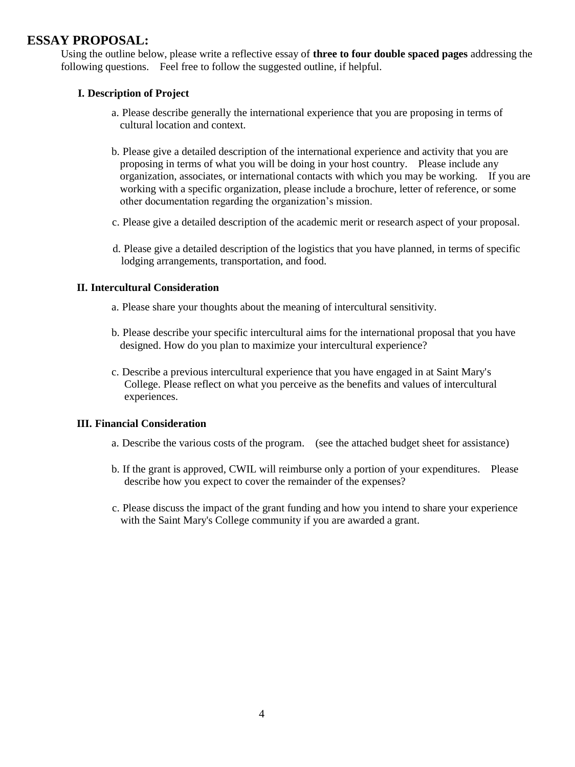#### **ESSAY PROPOSAL:**

Using the outline below, please write a reflective essay of **three to four double spaced pages** addressing the following questions. Feel free to follow the suggested outline, if helpful.

#### **I. Description of Project**

- a. Please describe generally the international experience that you are proposing in terms of cultural location and context.
- b. Please give a detailed description of the international experience and activity that you are proposing in terms of what you will be doing in your host country. Please include any organization, associates, or international contacts with which you may be working. If you are working with a specific organization, please include a brochure, letter of reference, or some other documentation regarding the organization's mission.
- c. Please give a detailed description of the academic merit or research aspect of your proposal.
- d. Please give a detailed description of the logistics that you have planned, in terms of specific lodging arrangements, transportation, and food.

#### **II. Intercultural Consideration**

- a. Please share your thoughts about the meaning of intercultural sensitivity.
- b. Please describe your specific intercultural aims for the international proposal that you have designed. How do you plan to maximize your intercultural experience?
- c. Describe a previous intercultural experience that you have engaged in at Saint Mary's College. Please reflect on what you perceive as the benefits and values of intercultural experiences.

#### **III. Financial Consideration**

- a. Describe the various costs of the program. (see the attached budget sheet for assistance)
- b. If the grant is approved, CWIL will reimburse only a portion of your expenditures. Please describe how you expect to cover the remainder of the expenses?
- c. Please discuss the impact of the grant funding and how you intend to share your experience with the Saint Mary's College community if you are awarded a grant.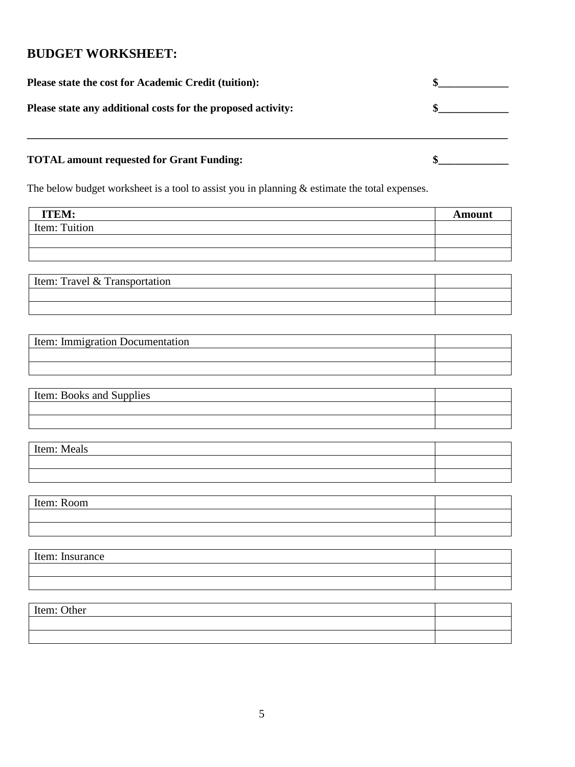### **BUDGET WORKSHEET:**

| Please state the cost for Academic Credit (tuition):         |  |
|--------------------------------------------------------------|--|
| Please state any additional costs for the proposed activity: |  |
| <b>TOTAL amount requested for Grant Funding:</b>             |  |

The below budget worksheet is a tool to assist you in planning & estimate the total expenses.

| <b>ITEM:</b>                                      | <b>Amount</b> |
|---------------------------------------------------|---------------|
| Item: Tuition                                     |               |
|                                                   |               |
|                                                   |               |
|                                                   |               |
| $\mathbf{r}$<br>10m<br>$\mathbf{r}$ .<br>$\cdots$ |               |

| Item: Travel & Transportation |  |
|-------------------------------|--|
|                               |  |
|                               |  |

| Item: Immigration Documentation |  |
|---------------------------------|--|
|                                 |  |
|                                 |  |

| Item: Books and Supplies |  |
|--------------------------|--|
|                          |  |
|                          |  |

| Item: Meals |  |
|-------------|--|
|             |  |
|             |  |

| Item: Room |  |
|------------|--|
|            |  |
|            |  |

| Item: Insurance |  |
|-----------------|--|
|                 |  |
|                 |  |

Item: Other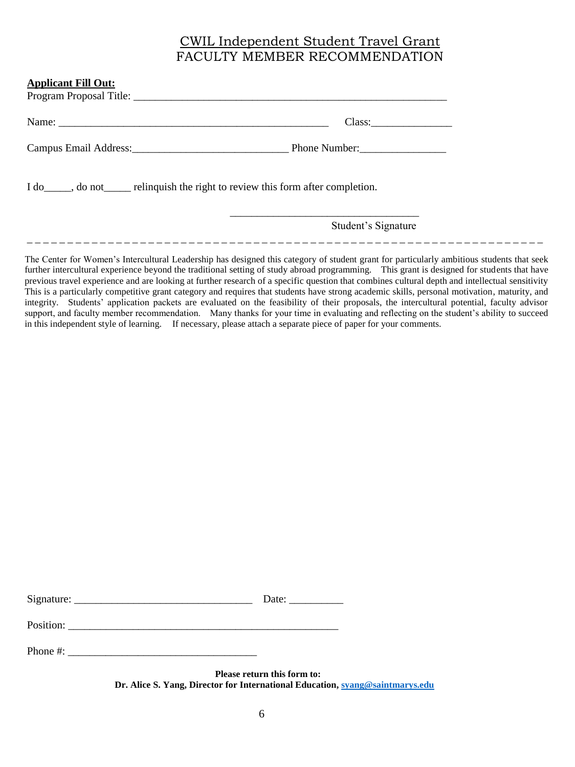## CWIL Independent Student Travel Grant FACULTY MEMBER RECOMMENDATION

| <b>Applicant Fill Out:</b>                                                           |                     |
|--------------------------------------------------------------------------------------|---------------------|
|                                                                                      |                     |
|                                                                                      | Class:              |
|                                                                                      |                     |
| I do _____, do not ______ relinquish the right to review this form after completion. |                     |
|                                                                                      | Student's Signature |

The Center for Women's Intercultural Leadership has designed this category of student grant for particularly ambitious students that seek further intercultural experience beyond the traditional setting of study abroad programming. This grant is designed for students that have previous travel experience and are looking at further research of a specific question that combines cultural depth and intellectual sensitivity. This is a particularly competitive grant category and requires that students have strong academic skills, personal motivation, maturity, and integrity. Students' application packets are evaluated on the feasibility of their proposals, the intercultural potential, faculty advisor support, and faculty member recommendation. Many thanks for your time in evaluating and reflecting on the student's ability to succeed in this independent style of learning. If necessary, please attach a separate piece of paper for your comments.

\_ \_ \_ \_ \_ \_ \_ \_ \_ \_ \_ \_ \_ \_ \_ \_ \_ \_ \_ \_ \_ \_ \_ \_ \_ \_ \_ \_ \_ \_ \_ \_ \_ \_ \_ \_ \_ \_ \_ \_ \_ \_ \_ \_ \_ \_ \_ \_ \_ \_ \_ \_ \_ \_ \_ \_ \_ \_ \_ \_ \_ \_ \_ \_

| Signature: | . பாட |
|------------|-------|
|            |       |

Position:

Phone  $\#$ :

**Please return this form to: Dr. Alice S. Yang, Director for International Education,** [syang@saintmarys.edu](mailto:syang@saintmarys.edu)